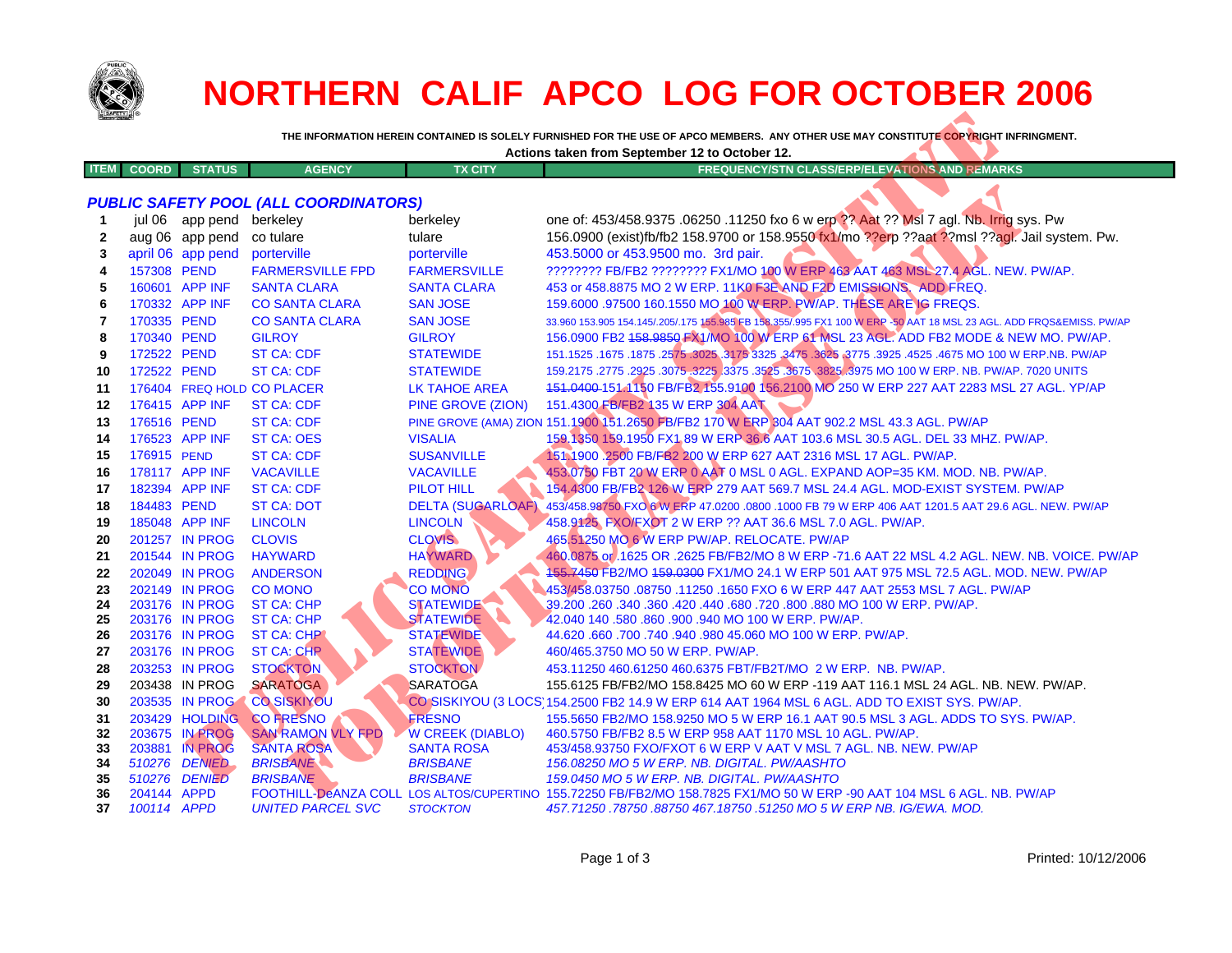

## **NORTHERN CALIF APCO LOG FOR OCTOBER 2006**

| Actions taken from September 12 to October 12. |              |                                   |               |                |                                                         |  |
|------------------------------------------------|--------------|-----------------------------------|---------------|----------------|---------------------------------------------------------|--|
| <b>ITEM</b>                                    | <b>COORD</b> | <b>STITE</b><br><b>STATISTICS</b> | <b>AGENCY</b> | <b>TX CITY</b> | <b>EMARKS</b><br><b>FREQUENCY/STN CLASS/ERP/ELEVATI</b> |  |
|                                                |              |                                   |               |                |                                                         |  |

## *PUBLIC SAFETY POOL (ALL COORDINATORS)*

| <b>SAFETY</b> |              |                                  |                                               |                                              |                                                                                                                                       |
|---------------|--------------|----------------------------------|-----------------------------------------------|----------------------------------------------|---------------------------------------------------------------------------------------------------------------------------------------|
|               |              |                                  |                                               |                                              | THE INFORMATION HEREIN CONTAINED IS SOLELY FURNISHED FOR THE USE OF APCO MEMBERS. ANY OTHER USE MAY CONSTITUTE COPYRIGHT INFRINGMENT. |
|               |              |                                  |                                               |                                              | Actions taken from September 12 to October 12.                                                                                        |
| ITEM          | <b>COORD</b> | <b>STATUS</b>                    | <b>AGENCY</b>                                 | <b>TX CITY</b>                               | <b>FREQUENCY/STN CLASS/ERP/ELEVATIONS AND REMARKS</b>                                                                                 |
|               |              |                                  |                                               |                                              |                                                                                                                                       |
|               |              |                                  | PUBLIC SAFETY POOL (ALL COORDINATORS)         |                                              |                                                                                                                                       |
|               | jul 06       | app pend                         | berkeley                                      | berkeley                                     | one of: 453/458.9375 .06250 .11250 fxo 6 w erp ?? Aat ?? Msl 7 agl. Nb. Irrig sys. Pw                                                 |
| $\mathbf{2}$  |              | aug 06 app pend                  | co tulare                                     | tulare                                       | 156.0900 (exist)fb/fb2 158.9700 or 158.9550 fx1/mo ??erp ??aat ??msl ??agl. Jail system. Pw.                                          |
| 3             |              | april 06 app pend                | porterville                                   | porterville                                  | 453.5000 or 453.9500 mo. 3rd pair.                                                                                                    |
| 4             | 157308 PEND  |                                  | <b>FARMERSVILLE FPD</b>                       | <b>FARMERSVILLE</b>                          | ???????? FB/FB2 ???????? FX1/MO 100 W ERP 463 AAT 463 MSL 27.4 AGL. NEW. PW/AP.                                                       |
| 5             |              | 160601 APP INF                   | <b>SANTA CLARA</b>                            | <b>SANTA CLARA</b>                           | 453 or 458.8875 MO 2 W ERP. 11K0 F3E AND F2D EMISSIONS. ADD FREQ.                                                                     |
| 6             |              | 170332 APP INF                   | <b>CO SANTA CLARA</b>                         | <b>SAN JOSE</b>                              | 159.6000.97500 160.1550 MO 100 W ERP. PW/AP. THESE ARE IG FREQS.                                                                      |
| 7             | 170335 PEND  |                                  | <b>CO SANTA CLARA</b>                         | <b>SAN JOSE</b>                              | 33.960 153.905 154.145/.205/.175 155.985 FB 158.355/.995 FX1 100 W ERP - 50 AAT 18 MSL 23 AGL. ADD FRQS&EMISS. PW/AP                  |
| 8             | 170340 PEND  |                                  | <b>GILROY</b>                                 | <b>GILROY</b>                                | 156.0900 FB2 158.9850 FX1/MO 100 W ERP 61 MSL 23 AGL. ADD FB2 MODE & NEW MO. PW/AP.                                                   |
| 9             | 172522 PEND  |                                  | <b>ST CA: CDF</b>                             | <b>STATEWIDE</b>                             | 151.1525 .1675 .1875 .2575 .3025 .3475 .3625 .3775 .3925 .3775 .3925 .4525 .4675 MO 100 W ERP.NB. PW/AP                               |
| 10            | 172522 PEND  |                                  | <b>ST CA: CDF</b>                             | <b>STATEWIDE</b>                             | 159.2175 .2775 .2925 .3075 .3225 .3375 .3525 .3675 .3825 .3975 MO 100 W ERP. NB. PW/AP. 7020 UNITS                                    |
| 11            |              |                                  | 176404 FREQ HOLD CO PLACER                    | <b>LK TAHOE AREA</b>                         | 151.0400-151.1150 FB/FB2 155.9100 156.2100 MO 250 W ERP 227 AAT 2283 MSL 27 AGL. YP/AP                                                |
| 12            |              | 176415 APP INF                   | <b>ST CA: CDF</b>                             | <b>PINE GROVE (ZION)</b>                     | 151.4300 FB/FB2 135 W ERP 304 AAT                                                                                                     |
| 13            | 176516 PEND  |                                  | <b>ST CA: CDF</b>                             |                                              | PINE GROVE (AMA) ZION 151.1900 151.2650 FB/FB2 170 W ERP 304 AAT 902.2 MSL 43.3 AGL. PW/AP                                            |
| 14            |              | 176523 APP INF                   | <b>ST CA: OES</b>                             | <b>VISALIA</b>                               | 159.1350 159.1950 FX1 89 W ERP 36.6 AAT 103.6 MSL 30.5 AGL. DEL 33 MHZ. PW/AP.                                                        |
| 15            | 176915 PEND  |                                  | <b>ST CA: CDF</b>                             | <b>SUSANVILLE</b>                            | 151-1900 2500 FB/FB2 200 W ERP 627 AAT 2316 MSL 17 AGL. PW/AP.                                                                        |
| 16            |              | 178117 APP INF                   | <b>VACAVILLE</b>                              | <b>VACAVILLE</b>                             | 453.0750 FBT 20 W ERP 0 AAT 0 MSL 0 AGL. EXPAND AOP=35 KM. MOD. NB. PW/AP.                                                            |
| 17            |              | 182394 APP INF                   | <b>ST CA: CDF</b>                             | <b>PILOT HILL</b>                            | 154.4300 FB/FB2 126 W ERP 279 AAT 569.7 MSL 24.4 AGL. MOD-EXIST SYSTEM. PW/AP                                                         |
| 18            | 184483 PEND  |                                  | <b>ST CA: DOT</b>                             |                                              | DELTA (SUGARLOAF) 453/458.98750 FXO 6 W ERP 47.0200 .0800 .1000 FB 79 W ERP 406 AAT 1201.5 AAT 29.6 AGL. NEW. PW/AP                   |
| 19            |              | 185048 APP INF                   | <b>LINCOLN</b>                                | <b>LINCOLN</b>                               | 458.9125 FXO/FXOT 2 W ERP ?? AAT 36.6 MSL 7.0 AGL. PW/AP.                                                                             |
| 20            |              | 201257 IN PROG                   | <b>CLOVIS</b>                                 | <b>CLOVIS</b>                                | 465.51250 MO 6 W ERP PW/AP. RELOCATE. PW/AP                                                                                           |
| 21            |              | 201544 IN PROG                   | <b>HAYWARD</b>                                | <b>HAYWARD</b>                               | 460.0875 or .1625 OR .2625 FB/FB2/MO 8 W ERP -71.6 AAT 22 MSL 4.2 AGL. NEW. NB. VOICE. PW/AP                                          |
| 22            |              | 202049 IN PROG                   | <b>ANDERSON</b>                               | <b>REDDING</b>                               | 155.7450 FB2/MO 159.0300 FX1/MO 24.1 W ERP 501 AAT 975 MSL 72.5 AGL. MOD. NEW. PW/AP                                                  |
| 23            |              | 202149 IN PROG                   | <b>CO MONO</b>                                | <b>CO MONO</b>                               | 453/458.03750 .08750 .11250 .1650 FXO 6 W ERP 447 AAT 2553 MSL 7 AGL. PW/AP                                                           |
| 24            |              | 203176 IN PROG                   | <b>ST CA: CHP</b>                             | <b>STATEWIDE</b>                             | 39.200 .260 .340 .360 .420 .440 .680 .720 .800 .880 MO 100 W ERP. PW/AP.                                                              |
| 25            |              | 203176 IN PROG                   | <b>ST CA: CHP</b>                             | <b>STATEWIDE</b>                             | 42.040 140 .580 .860 .900 .940 MO 100 W ERP. PW/AP.                                                                                   |
| 26            |              | 203176 IN PROG                   | <b>ST CA: CHP</b>                             | <b>STATEWIDE</b>                             | 44.620 .660 .700 .740 .940 .980 45.060 MO 100 W ERP. PW/AP.                                                                           |
| 27            |              | 203176 IN PROG                   | <b>ST CA: CHP</b>                             | <b>STATEWIDE</b>                             | 460/465.3750 MO 50 W ERP. PW/AP.                                                                                                      |
| 28            |              | 203253 IN PROG                   | <b>STOCKTON</b>                               | <b>STOCKTON</b>                              | 453.11250 460.61250 460.6375 FBT/FB2T/MO 2 W ERP. NB. PW/AP.                                                                          |
| 29            |              | 203438 IN PROG                   | <b>SARATOGA</b>                               | <b>SARATOGA</b>                              | 155.6125 FB/FB2/MO 158.8425 MO 60 W ERP -119 AAT 116.1 MSL 24 AGL, NB, NEW, PW/AP,                                                    |
| 30            |              | 203535 IN PROG                   | <b>CO SISKIYOU</b>                            |                                              | CO SISKIYOU (3 LOCS 154.2500 FB2 14.9 W ERP 614 AAT 1964 MSL 6 AGL. ADD TO EXIST SYS. PW/AP.                                          |
| 31            |              |                                  | 203429 HOLDING CO FRESNO                      | <b>FRESNO</b>                                | 155.5650 FB2/MO 158.9250 MO 5 W ERP 16.1 AAT 90.5 MSL 3 AGL. ADDS TO SYS. PW/AP.                                                      |
| 32<br>33      |              | 203675 IN PROG<br>203881 IN PROG | <b>SAN RAMON VLY FPD</b><br><b>SANTA ROSA</b> | <b>W CREEK (DIABLO)</b><br><b>SANTA ROSA</b> | 460.5750 FB/FB2 8.5 W ERP 958 AAT 1170 MSL 10 AGL. PW/AP.<br>453/458.93750 FXO/FXOT 6 W ERP V AAT V MSL 7 AGL, NB, NEW, PW/AP         |
| 34            |              | 510276 DENIED                    | <b>BRISBANE</b>                               | <b>BRISBANE</b>                              | 156.08250 MO 5 W ERP. NB. DIGITAL. PW/AASHTO                                                                                          |
| 35            |              | 510276 DENIED                    | <b>BRISBANE</b>                               | <b>BRISBANE</b>                              | 159.0450 MO 5 W ERP. NB. DIGITAL. PW/AASHTO                                                                                           |
| 36            | 204144 APPD  |                                  |                                               |                                              | FOOTHILL-DeANZA COLL LOS ALTOS/CUPERTINO 155.72250 FB/FB2/MO 158.7825 FX1/MO 50 W ERP -90 AAT 104 MSL 6 AGL. NB. PW/AP                |
| 37            | 100114 APPD  |                                  | <b>UNITED PARCEL SVC</b>                      | <b>STOCKTON</b>                              | 457.71250.78750.88750.467.18750.51250 MO 5 W ERP NB. IG/EWA. MOD.                                                                     |
|               |              |                                  |                                               |                                              |                                                                                                                                       |
|               |              |                                  |                                               |                                              |                                                                                                                                       |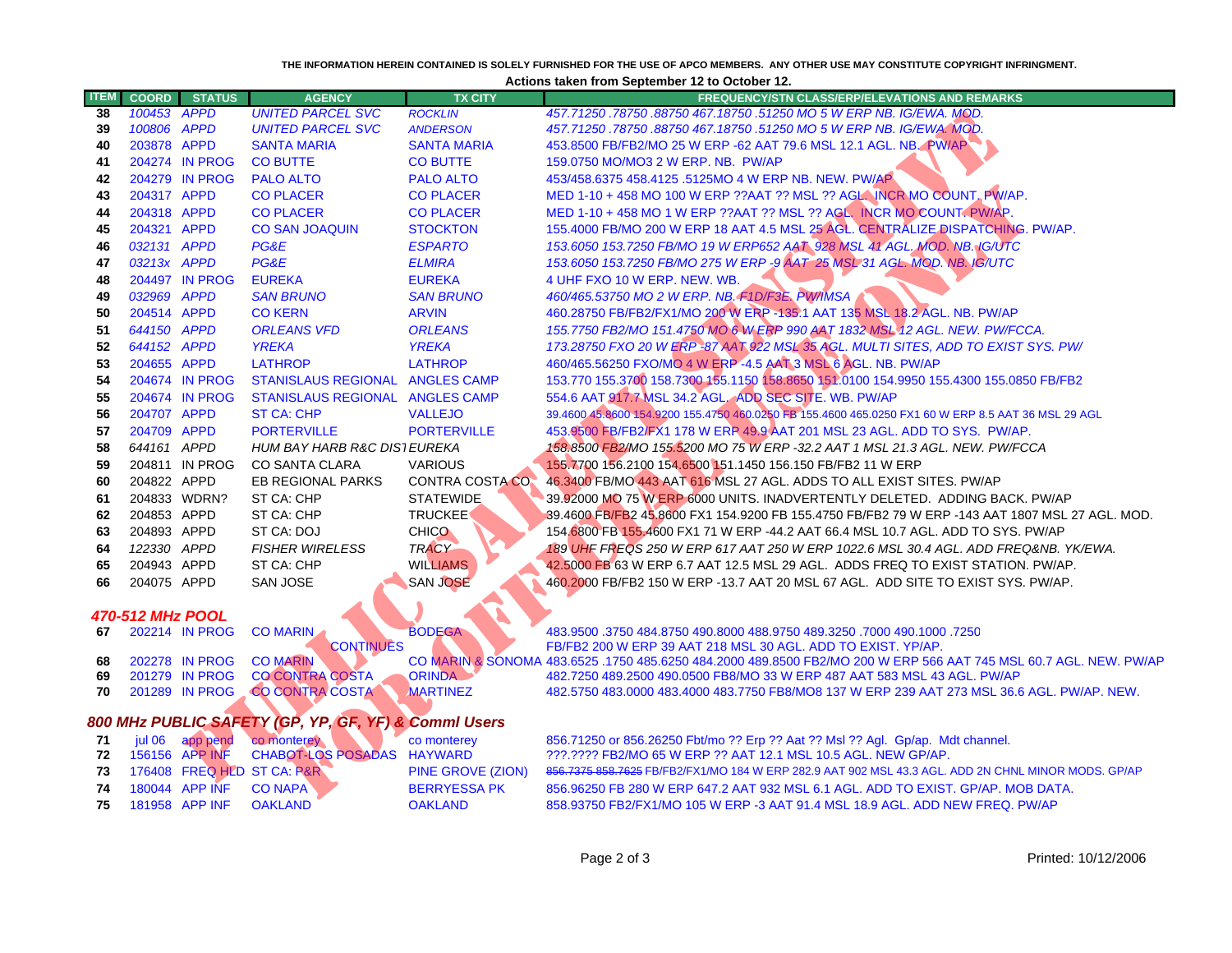## **THE INFORMATION HEREIN CONTAINED IS SOLELY FURNISHED FOR THE USE OF APCO MEMBERS. ANY OTHER USE MAY CONSTITUTE COPYRIGHT INFRINGMENT.**

**Actions taken from September 12 to October 12.**

| <b>ITEM</b>             | <b>COORD</b> | <b>STATUS</b>              | <b>AGENCY</b>                                        | <b>TX CITY</b>                     | <b>FREQUENCY/STN CLASS/ERP/ELEVATIONS AND REMARKS</b>                                                                                           |  |  |
|-------------------------|--------------|----------------------------|------------------------------------------------------|------------------------------------|-------------------------------------------------------------------------------------------------------------------------------------------------|--|--|
| 38                      | 100453       | <b>APPD</b>                | <b>UNITED PARCEL SVC</b>                             | <b>ROCKLIN</b>                     | 457.71250.78750.88750 467.18750.51250 MO 5 W ERP NB. IG/EWA. MQD.                                                                               |  |  |
| 39                      | 100806 APPD  |                            | <b>UNITED PARCEL SVC</b>                             | <b>ANDERSON</b>                    | 457.71250.78750.88750 467.18750.51250 MO 5 W ERP NB. IG/EWA. MOD.                                                                               |  |  |
| 40                      | 203878 APPD  |                            | <b>SANTA MARIA</b>                                   | <b>SANTA MARIA</b>                 | 453.8500 FB/FB2/MO 25 W ERP -62 AAT 79.6 MSL 12.1 AGL. NB. PW/AP                                                                                |  |  |
| 41                      |              | 204274 IN PROG             | <b>CO BUTTE</b>                                      | <b>CO BUTTE</b>                    | 159.0750 MO/MO3 2 W ERP. NB. PW/AP                                                                                                              |  |  |
| 42                      |              | 204279 IN PROG             | <b>PALO ALTO</b>                                     | <b>PALO ALTO</b>                   | 453/458.6375 458.4125 .5125MO 4 W ERP NB. NEW. PW/AP                                                                                            |  |  |
| 43                      | 204317 APPD  |                            | <b>CO PLACER</b>                                     | <b>CO PLACER</b>                   | MED 1-10 + 458 MO 100 W ERP ??AAT ?? MSL ?? AGL. INCR MO COUNT, PWAP.                                                                           |  |  |
| 44                      | 204318 APPD  |                            | <b>CO PLACER</b>                                     | <b>CO PLACER</b>                   | MED 1-10 + 458 MO 1 W ERP ??AAT ?? MSL ?? AGL. INCR MO COUNT. PW/AP.                                                                            |  |  |
| 45                      | 204321 APPD  |                            | <b>CO SAN JOAQUIN</b>                                | <b>STOCKTON</b>                    | 155.4000 FB/MO 200 W ERP 18 AAT 4.5 MSL 25 AGL. CENTRALIZE DISPATCHING. PW/AP.                                                                  |  |  |
| 46                      | 032131 APPD  |                            | PG&E                                                 | <b>ESPARTO</b>                     | 153.6050 153.7250 FB/MO 19 W ERP652 AAT 928 MSL 41 AGL, MOD. NB. IG/UTC                                                                         |  |  |
| 47                      | 03213x APPD  |                            | PG&E                                                 | <b>ELMIRA</b>                      | 153.6050 153.7250 FB/MO 275 W ERP -9 AAT 25 MSL 31 AGL. MOD. NB. IG/UTC                                                                         |  |  |
| 48                      |              | 204497 IN PROG             | <b>EUREKA</b>                                        | <b>EUREKA</b>                      | 4 UHF FXO 10 W ERP. NEW. WB.                                                                                                                    |  |  |
| 49                      | 032969 APPD  |                            | <b>SAN BRUNO</b>                                     | <b>SAN BRUNO</b>                   | 460/465.53750 MO 2 W ERP. NB. F1D/F3E. PW/IMSA                                                                                                  |  |  |
| 50                      | 204514 APPD  |                            | <b>CO KERN</b>                                       | <b>ARVIN</b>                       | 460.28750 FB/FB2/FX1/MO 200 W ERP -135.1 AAT 135 MSL 18.2 AGL. NB. PW/AP                                                                        |  |  |
| 51                      | 644150 APPD  |                            | <b>ORLEANS VFD</b>                                   | <b>ORLEANS</b>                     | 155.7750 FB2/MO 151.4750 MO 6 W ERP 990 AAT 1832 MSL 12 AGL. NEW. PW/FCCA.                                                                      |  |  |
| 52                      | 644152 APPD  |                            | <b>YREKA</b>                                         | <b>YREKA</b>                       | 173.28750 FXO 20 W ERP-87 AAT 922 MSL 35 AGL. MULTI SITES, ADD TO EXIST SYS. PW/                                                                |  |  |
| 53                      | 204655 APPD  |                            | <b>LATHROP</b>                                       | <b>LATHROP</b>                     | 460/465.56250 FXO/MO 4 W ERP-4.5 AAT 3 MSL 6 AGL. NB. PW/AP                                                                                     |  |  |
| 54                      |              | 204674 IN PROG             | STANISLAUS REGIONAL ANGLES CAMP                      |                                    | 153.770 155.3700 158.7300 155.1150 158.8650 151.0100 154.9950 155.4300 155.0850 FB/FB2                                                          |  |  |
| 55                      |              | 204674 IN PROG             | STANISLAUS REGIONAL ANGLES CAMP                      |                                    | 554.6 AAT 917.7 MSL 34.2 AGL, ADD SEC SITE. WB. PW/AP                                                                                           |  |  |
| 56                      | 204707 APPD  |                            | <b>ST CA: CHP</b>                                    | <b>VALLEJO</b>                     | 39.4600 45.8600 154.9200 155.4750 460.0250 FB 155.4600 465.0250 FX1 60 W ERP 8.5 AAT 36 MSL 29 AGL                                              |  |  |
| 57                      | 204709 APPD  |                            | <b>PORTERVILLE</b>                                   | <b>PORTERVILLE</b>                 | 453.9500 FB/FB2/FX1 178 W ERR 49.9 AAT 201 MSL 23 AGL. ADD TO SYS. PW/AP.                                                                       |  |  |
| 58                      | 644161 APPD  |                            | <b>HUM BAY HARB R&amp;C DIS1 EUREKA</b>              |                                    | 158.8500 FB2/MO 155.5200 MO 75 W ERP -32.2 AAT 1 MSL 21.3 AGL. NEW. PW/FCCA                                                                     |  |  |
| 59                      |              | 204811 IN PROG             | <b>CO SANTA CLARA</b>                                | <b>VARIOUS</b>                     | 155.7700 156.2100 154.6500 151.1450 156.150 FB/FB2 11 W ERP                                                                                     |  |  |
| 60                      | 204822 APPD  |                            | EB REGIONAL PARKS                                    | <b>CONTRA COSTA CO.</b>            | 46.3400 FB/MO 443 AAT 616 MSL 27 AGL. ADDS TO ALL EXIST SITES. PW/AP                                                                            |  |  |
| 61                      |              | 204833 WDRN?               | ST CA: CHP                                           | <b>STATEWIDE</b>                   | 39.92000 MO 75 W ERP 6000 UNITS. INADVERTENTLY DELETED. ADDING BACK. PW/AP                                                                      |  |  |
| 62                      | 204853 APPD  |                            | ST CA: CHP                                           | <b>TRUCKEE</b>                     | 39.4600 FB/FB2 45.8600 FX1 154.9200 FB 155.4750 FB/FB2 79 W ERP -143 AAT 1807 MSL 27 AGL. MOD.                                                  |  |  |
| 63                      | 204893 APPD  |                            | ST CA: DOJ                                           | <b>CHICO</b>                       | 154.6800 FB 155.4600 FX1 71 W ERP -44.2 AAT 66.4 MSL 10.7 AGL. ADD TO SYS. PW/AP                                                                |  |  |
| 64                      | 122330 APPD  |                            | <b>FISHER WIRELESS</b>                               | <b>TRACY</b>                       | 189 UHF FREQS 250 W ERP 617 AAT 250 W ERP 1022.6 MSL 30.4 AGL. ADD FREQ&NB, YK/EWA,                                                             |  |  |
| 65                      | 204943 APPD  |                            | ST CA: CHP                                           | <b>WILLIAMS</b><br><b>SAN JOSE</b> | 42.5000 FB 63 W ERP 6.7 AAT 12.5 MSL 29 AGL. ADDS FREQ TO EXIST STATION. PW/AP.                                                                 |  |  |
| 66                      | 204075 APPD  |                            | SAN JOSE                                             |                                    | 460.2000 FB/FB2 150 W ERP -13.7 AAT 20 MSL 67 AGL. ADD SITE TO EXIST SYS. PW/AP.                                                                |  |  |
| <b>470-512 MHz POOL</b> |              |                            |                                                      |                                    |                                                                                                                                                 |  |  |
| 67                      |              | 202214 IN PROG             | <b>CO MARIN</b>                                      | <b>BODEGA</b>                      | 483.9500 .3750 484.8750 490.8000 488.9750 489.3250 .7000 490.1000 .3750                                                                         |  |  |
|                         |              |                            | <b>CONTINUES</b>                                     |                                    | FB/FB2 200 W ERP 39 AAT 218 MSL 30 AGL. ADD TO EXIST. YP/AP.                                                                                    |  |  |
| 68                      |              | 202278 IN PROG             | <b>CO MARIN</b>                                      |                                    | CO MARIN & SONOMA 483.6525 .1750 485.6250 484.2000 489.8500 FB2/MO 200 W ERP 566 AAT 745 MSL 60.7 AGL. NEW. PW/AP                               |  |  |
| 69                      |              | 201279 IN PROG             | <b>CO CONTRA COSTA</b>                               | <b>ORINDA</b>                      | 482.7250 489.2500 490.0500 FB8/MO 33 W ERP 487 AAT 583 MSL 43 AGL. PW/AP                                                                        |  |  |
| 70                      |              | 201289 IN PROG             | <b>CO CONTRA COSTA</b>                               | <b>MARTINEZ</b>                    | 482.5750 483.0000 483.4000 483.7750 FB8/MO8 137 W ERP 239 AAT 273 MSL 36.6 AGL. PW/AP. NEW.                                                     |  |  |
|                         |              |                            |                                                      |                                    |                                                                                                                                                 |  |  |
|                         |              |                            | 800 MHz PUBLIC SAFETY (GP, YP, GF, YF) & Commi Users |                                    |                                                                                                                                                 |  |  |
| 71<br>72                | jul 06       | app pend<br>156156 APP INF | co monterey<br><b>CHABOT-LOS POSADAS</b>             | co monterey<br><b>HAYWARD</b>      | 856.71250 or 856.26250 Fbt/mo ?? Erp ?? Aat ?? Msl ?? Agl. Gp/ap. Mdt channel.<br>???.???? FB2/MO 65 W ERP ?? AAT 12.1 MSL 10.5 AGL. NEW GP/AP. |  |  |
| 73                      |              |                            | 176408 FREQ HLD ST CA: P&R                           | PINE GROVE (ZION)                  | 856,7375 858,7625 FB/FB2/FX1/MO 184 W ERP 282.9 AAT 902 MSL 43.3 AGL. ADD 2N CHNL MINOR MODS. GP/AP                                             |  |  |
| 74                      |              | 180044 APP INF             | <b>CO NAPA</b>                                       | <b>BERRYESSA PK</b>                | 856.96250 FB 280 W ERP 647.2 AAT 932 MSL 6.1 AGL. ADD TO EXIST. GP/AP. MOB DATA.                                                                |  |  |
| 75                      |              | 181958 APP INF             | <b>OAKLAND</b>                                       | <b>OAKLAND</b>                     | 858.93750 FB2/FX1/MO 105 W ERP -3 AAT 91.4 MSL 18.9 AGL. ADD NEW FREQ. PW/AP                                                                    |  |  |
|                         |              |                            |                                                      |                                    |                                                                                                                                                 |  |  |
|                         |              |                            |                                                      |                                    |                                                                                                                                                 |  |  |